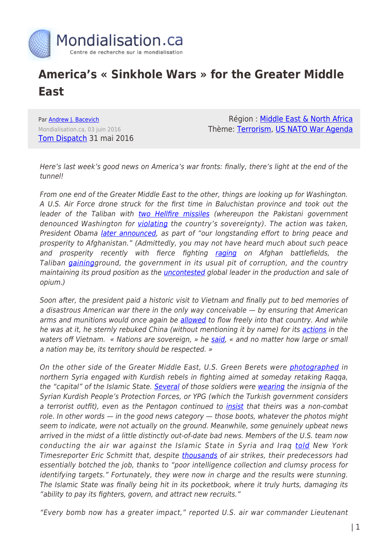

## **America's « Sinkhole Wars » for the Greater Middle East**

Par [Andrew J. Bacevich](https://www.mondialisation.ca/author/andrew-j-bacevich) Mondialisation.ca, 03 juin 2016 [Tom Dispatch](http://www.tomdispatch.com/post/176147/tomgram%3A_andrew_bacevich%2C_america%27s_sinkhole_wars/) 31 mai 2016

Région : [Middle East & North Africa](https://www.mondialisation.ca/region/middle-east) Thème: [Terrorism](https://www.mondialisation.ca/theme/9-11-war-on-terrorism), [US NATO War Agenda](https://www.mondialisation.ca/theme/us-nato-war-agenda)

Here's last week's good news on America's war fronts: finally, there's light at the end of the tunnel!

From one end of the Greater Middle East to the other, things are looking up for Washington. A U.S. Air Force drone struck for the first time in Baluchistan province and took out the leader of the Taliban with [two Hellfire missiles](http://www.wsj.com/articles/u-s-tracked-taliban-leader-before-drone-strike-1464109562) (whereupon the Pakistani government denounced Washington for [violating](http://www.nytimes.com/2016/05/23/world/asia/afghanistan-taliban-leader-mullah-mansour.html) the country's sovereignty). The action was taken, President Obama [later announced](http://www.dw.com/en/could-the-next-taliban-leader-pose-a-bigger-threat-to-peace/a-19277238), as part of "our longstanding effort to bring peace and prosperity to Afghanistan." (Admittedly, you may not have heard much about such peace and prosperity recently with fierce fighting [raging](http://www.nytimes.com/2016/03/16/world/asia/a-5th-district-in-helmand-province-falls-to-the-taliban.html) on Afghan battlefields, the Taliban *[gaining](http://thehill.com/policy/national-security/264615-taliban-gaining-ground-in-afghanistan-former-cia-chief-says)ground*, the government in its usual pit of corruption, and the country maintaining its proud position as the *uncontested* global leader in the production and sale of opium.)

Soon after, the president paid a historic visit to Vietnam and finally put to bed memories of a disastrous American war there in the only way conceivable — by ensuring that American arms and munitions would once again be **allowed** to flow freely into that country. And while he was at it, he sternly rebuked China (without mentioning it by name) for its [actions](http://www.cnn.com/2016/01/03/asia/china-vietnam-south-china-sea/) in the waters off Vietnam. « Nations are sovereign, » he [said](http://www.cnn.com/2016/05/24/politics/obama-vietnam-south-china-sea/), « and no matter how large or small a nation may be, its territory should be respected. »

On the other side of the Greater Middle East, U.S. Green Berets were [photographed](https://www.washingtonpost.com/news/checkpoint/wp/2016/05/26/first-images-emerge-of-u-s-special-operations-forces-in-the-fight-to-retake-raqqa/) in northern Syria engaged with Kurdish rebels in fighting aimed at someday retaking Raqqa, the "capital" of the Islamic State. [Several](http://www.nytimes.com/2016/05/27/world/middleeast/us-commandos-work-with-syrian-fighters-in-push-toward-isis-stronghold.html) of those soldiers were [wearing](http://www.militarytimes.com/story/military/war-on-is/2016/05/26/green-berets-syria-kurdish-ypg-insignia/84987596/) the insignia of the Syrian Kurdish People's Protection Forces, or YPG (which the Turkish government considers a terrorist outfit), even as the Pentagon continued to *insist* that theirs was a non-combat role. In other words — in the good news category — those boots, whatever the photos might seem to indicate, were not actually on the ground. Meanwhile, some genuinely upbeat news arrived in the midst of a little distinctly out-of-date bad news. Members of the U.S. team now conducting the air war against the Islamic State in Syria and Iraq [told](http://www.nytimes.com/2016/05/26/us/politics/us-strikes-isis-targets.html) New York Timesreporter Eric Schmitt that, despite [thousands](http://www.bbc.com/news/world-middle-east-35472662) of air strikes, their predecessors had essentially botched the job, thanks to "poor intelligence collection and clumsy process for identifying targets." Fortunately, they were now in charge and the results were stunning. The Islamic State was finally being hit in its pocketbook, where it truly hurts, damaging its "ability to pay its fighters, govern, and attract new recruits."

"Every bomb now has a greater impact," reported U.S. air war commander Lieutenant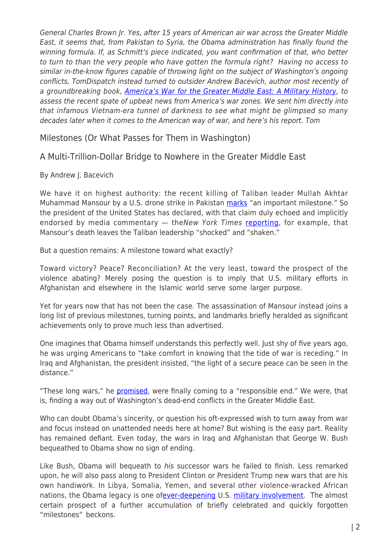General Charles Brown Jr. Yes, after 15 years of American air war across the Greater Middle East, it seems that, from Pakistan to Syria, the Obama administration has finally found the winning formula. If, as Schmitt's piece indicated, you want confirmation of that, who better to turn to than the very people who have gotten the formula right? Having no access to similar in-the-know figures capable of throwing light on the subject of Washington's ongoing conflicts, TomDispatch instead turned to outsider Andrew Bacevich, author most recently of a groundbreaking book, [America's War for the Greater Middle East: A Military History](http://www.amazon.com/dp/0553393936/ref=nosim/?tag=tomdispatch-20), to assess the recent spate of upbeat news from America's war zones. We sent him directly into that infamous Vietnam-era tunnel of darkness to see what might be glimpsed so many decades later when it comes to the American way of war, and here's his report. Tom

Milestones (Or What Passes for Them in Washington)

A Multi-Trillion-Dollar Bridge to Nowhere in the Greater Middle East

By Andrew J. Bacevich

We have it on highest authority: the recent killing of Taliban leader Mullah Akhtar Muhammad Mansour by a U.S. drone strike in Pakistan [marks](http://www.nytimes.com/2016/05/24/world/asia/obama-mullah-mansour-taliban-killed.html) "an important milestone." So the president of the United States has declared, with that claim duly echoed and implicitly endorsed by media commentary - theNew York Times [reporting,](http://www.nytimes.com/2016/05/25/world/asia/afghanistan-taliban-new-leader.html) for example, that Mansour's death leaves the Taliban leadership "shocked" and "shaken."

But a question remains: A milestone toward what exactly?

Toward victory? Peace? Reconciliation? At the very least, toward the prospect of the violence abating? Merely posing the question is to imply that U.S. military efforts in Afghanistan and elsewhere in the Islamic world serve some larger purpose.

Yet for years now that has not been the case. The assassination of Mansour instead joins a long list of previous milestones, turning points, and landmarks briefly heralded as significant achievements only to prove much less than advertised.

One imagines that Obama himself understands this perfectly well. Just shy of five years ago, he was urging Americans to "take comfort in knowing that the tide of war is receding." In Iraq and Afghanistan, the president insisted, "the light of a secure peace can be seen in the distance."

"These long wars," he [promised,](https://www.whitehouse.gov/the-press-office/2011/06/22/remarks-president-way-forward-afghanistan) were finally coming to a "responsible end." We were, that is, finding a way out of Washington's dead-end conflicts in the Greater Middle East.

Who can doubt Obama's sincerity, or question his oft-expressed wish to turn away from war and focus instead on unattended needs here at home? But wishing is the easy part. Reality has remained defiant. Even today, the wars in Iraq and Afghanistan that George W. Bush bequeathed to Obama show no sign of ending.

Like Bush, Obama will bequeath to his successor wars he failed to finish. Less remarked upon, he will also pass along to President Clinton or President Trump new wars that are his own handiwork. In Libya, Somalia, Yemen, and several other violence-wracked African nations, the Obama legacy is one of[ever-deepening](http://www.tomdispatch.com/blog/176070/tomgram:_nick_turse,_america) U.S. [military involvement.](http://www.tomdispatch.com/blog/176042/tomgram%3A_nick_turse,_nothing_succeeds_like_failure) The almost certain prospect of a further accumulation of briefly celebrated and quickly forgotten "milestones" beckons.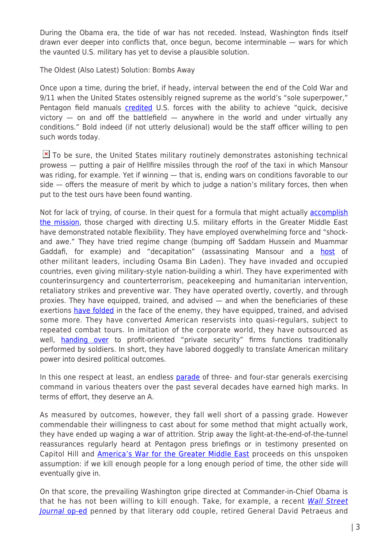During the Obama era, the tide of war has not receded. Instead, Washington finds itself drawn ever deeper into conflicts that, once begun, become interminable — wars for which the vaunted U.S. military has yet to devise a plausible solution.

The Oldest (Also Latest) Solution: Bombs Away

Once upon a time, during the brief, if heady, interval between the end of the Cold War and 9/11 when the United States ostensibly reigned supreme as the world's "sole superpower," Pentagon field manuals [credited](http://www.fprado.com/armorsite/US-Field-Manuals/FM-100-5-Operations.pdf) U.S. forces with the ability to achieve "quick, decisive victory  $-$  on and off the battlefield  $-$  anywhere in the world and under virtually any conditions." Bold indeed (if not utterly delusional) would be the staff officer willing to pen such words today.

 $\Sigma$  To be sure, the United States military routinely demonstrates astonishing technical prowess — putting a pair of Hellfire missiles through the roof of the taxi in which Mansour was riding, for example. Yet if winning — that is, ending wars on conditions favorable to our side — offers the measure of merit by which to judge a nation's military forces, then when put to the test ours have been found wanting.

Not for lack of trying, of course. In their quest for a formula that might actually [accomplish](http://media2.s-nbcnews.com/j/msnbc/Components/ArtAndPhoto-Fronts/COVER/080501/g-cvr-080501-mission-10a.grid-6x2.jpg) [the mission,](http://media2.s-nbcnews.com/j/msnbc/Components/ArtAndPhoto-Fronts/COVER/080501/g-cvr-080501-mission-10a.grid-6x2.jpg) those charged with directing U.S. military efforts in the Greater Middle East have demonstrated notable flexibility. They have employed overwhelming force and "shockand awe." They have tried regime change (bumping off Saddam Hussein and Muammar Gaddafi, for example) and "decapitation" (assassinating Mansour and a [host](http://www.tomdispatch.com/post/175988/tomgram%3A_andrew_cockburn,_how_assassination_sold_drugs_and_promoted_terrorism/) of other militant leaders, including Osama Bin Laden). They have invaded and occupied countries, even giving military-style nation-building a whirl. They have experimented with counterinsurgency and counterterrorism, peacekeeping and humanitarian intervention, retaliatory strikes and preventive war. They have operated overtly, covertly, and through proxies. They have equipped, trained, and advised — and when the beneficiaries of these exertions [have folded](http://www.tomdispatch.com/post/176055/tomgram%3A_andrew_bacevich,_vietnamization_2.0/) in the face of the enemy, they have equipped, trained, and advised some more. They have converted American reservists into quasi-regulars, subject to repeated combat tours. In imitation of the corporate world, they have outsourced as well, [handing over](http://www.defenseone.com/threats/2016/02/back-iraq-us-military-contractors-return-droves/126095/) to profit-oriented "private security" firms functions traditionally performed by soldiers. In short, they have labored doggedly to translate American military power into desired political outcomes.

In this one respect at least, an endless [parade](http://www.thedailybeast.com/articles/2016/03/31/exclusive-21-generals-lead-an-isis-war-the-u-s-denies.html) of three- and four-star generals exercising command in various theaters over the past several decades have earned high marks. In terms of effort, they deserve an A.

As measured by outcomes, however, they fall well short of a passing grade. However commendable their willingness to cast about for some method that might actually work, they have ended up waging a war of attrition. Strip away the light-at-the-end-of-the-tunnel reassurances regularly heard at Pentagon press briefings or in testimony presented on Capitol Hill and **[America's War for the Greater Middle East](http://www.amazon.com/dp/0553393936/ref=nosim/?tag=tomdispatch-20)** proceeds on this unspoken assumption: if we kill enough people for a long enough period of time, the other side will eventually give in.

On that score, the prevailing Washington gripe directed at Commander-in-Chief Obama is that he has not been willing to kill enough. Take, for example, a recent [Wall Street](http://www.wsj.com/articles/take-the-gloves-off-against-the-taliban-1463783106) [Journal](http://www.wsj.com/articles/take-the-gloves-off-against-the-taliban-1463783106) [op-ed](http://www.wsj.com/articles/take-the-gloves-off-against-the-taliban-1463783106) penned by that literary odd couple, retired General David Petraeus and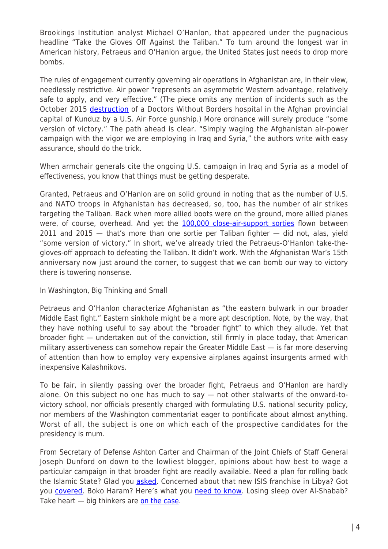Brookings Institution analyst Michael O'Hanlon, that appeared under the pugnacious headline "Take the Gloves Off Against the Taliban." To turn around the longest war in American history, Petraeus and O'Hanlon argue, the United States just needs to drop more bombs.

The rules of engagement currently governing air operations in Afghanistan are, in their view, needlessly restrictive. Air power "represents an asymmetric Western advantage, relatively safe to apply, and very effective." (The piece omits any mention of incidents such as the October 2015 [destruction](http://www.tomdispatch.com/blog/176069/tomgram%3A_laura_gottesdiener,_the_angel_of_death/) of a Doctors Without Borders hospital in the Afghan provincial capital of Kunduz by a U.S. Air Force gunship.) More ordnance will surely produce "some version of victory." The path ahead is clear. "Simply waging the Afghanistan air-power campaign with the vigor we are employing in Iraq and Syria," the authors write with easy assurance, should do the trick.

When armchair generals cite the ongoing U.S. campaign in Iraq and Syria as a model of effectiveness, you know that things must be getting desperate.

Granted, Petraeus and O'Hanlon are on solid ground in noting that as the number of U.S. and NATO troops in Afghanistan has decreased, so, too, has the number of air strikes targeting the Taliban. Back when more allied boots were on the ground, more allied planes were, of course, overhead. And yet the [100,000 close-air-support sorties](http://www.afcent.af.mil/Portals/82/Documents/Airpower%20summary/03%20-%2031%20March%202016%20Airpower%20Summary.pdf?ver=2016-04-09-055912-003) flown between 2011 and 2015 — that's more than one sortie per Taliban fighter — did not, alas, yield "some version of victory." In short, we've already tried the Petraeus-O'Hanlon take-thegloves-off approach to defeating the Taliban. It didn't work. With the Afghanistan War's 15th anniversary now just around the corner, to suggest that we can bomb our way to victory there is towering nonsense.

In Washington, Big Thinking and Small

Petraeus and O'Hanlon characterize Afghanistan as "the eastern bulwark in our broader Middle East fight." Eastern sinkhole might be a more apt description. Note, by the way, that they have nothing useful to say about the "broader fight" to which they allude. Yet that broader fight — undertaken out of the conviction, still firmly in place today, that American military assertiveness can somehow repair the Greater Middle East — is far more deserving of attention than how to employ very expensive airplanes against insurgents armed with inexpensive Kalashnikovs.

To be fair, in silently passing over the broader fight, Petraeus and O'Hanlon are hardly alone. On this subject no one has much to say — not other stalwarts of the onward-tovictory school, nor officials presently charged with formulating U.S. national security policy, nor members of the Washington commentariat eager to pontificate about almost anything. Worst of all, the subject is one on which each of the prospective candidates for the presidency is mum.

From Secretary of Defense Ashton Carter and Chairman of the Joint Chiefs of Staff General Joseph Dunford on down to the lowliest blogger, opinions about how best to wage a particular campaign in that broader fight are readily available. Need a plan for rolling back the Islamic State? Glad you **asked**. Concerned about that new ISIS franchise in Libya? Got you **covered**. Boko Haram? Here's what you [need to know.](http://www.cfr.org/nigeria/us-policy-counter-nigerias-boko-haram/p33806) Losing sleep over Al-Shabab? Take heart  $-$  big thinkers are [on the case](http://foreignpolicy.com/2016/03/09/u-s-attacks-reveal-al-shababs-strength-not-weakness-somalia/).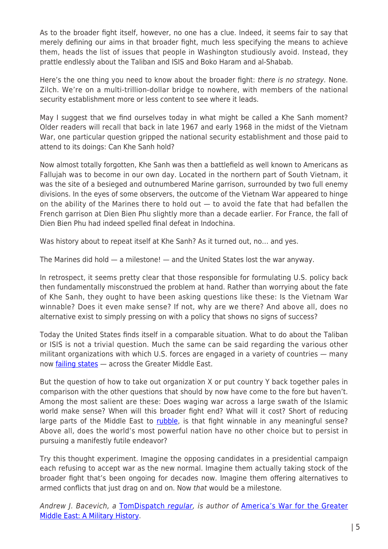As to the broader fight itself, however, no one has a clue. Indeed, it seems fair to say that merely defining our aims in that broader fight, much less specifying the means to achieve them, heads the list of issues that people in Washington studiously avoid. Instead, they prattle endlessly about the Taliban and ISIS and Boko Haram and al-Shabab.

Here's the one thing you need to know about the broader fight: there is no strategy. None. Zilch. We're on a multi-trillion-dollar bridge to nowhere, with members of the national security establishment more or less content to see where it leads.

May I suggest that we find ourselves today in what might be called a Khe Sanh moment? Older readers will recall that back in late 1967 and early 1968 in the midst of the Vietnam War, one particular question gripped the national security establishment and those paid to attend to its doings: Can Khe Sanh hold?

Now almost totally forgotten, Khe Sanh was then a battlefield as well known to Americans as Fallujah was to become in our own day. Located in the northern part of South Vietnam, it was the site of a besieged and outnumbered Marine garrison, surrounded by two full enemy divisions. In the eyes of some observers, the outcome of the Vietnam War appeared to hinge on the ability of the Marines there to hold out — to avoid the fate that had befallen the French garrison at Dien Bien Phu slightly more than a decade earlier. For France, the fall of Dien Bien Phu had indeed spelled final defeat in Indochina.

Was history about to repeat itself at Khe Sanh? As it turned out, no… and yes.

The Marines did hold — a milestone! — and the United States lost the war anyway.

In retrospect, it seems pretty clear that those responsible for formulating U.S. policy back then fundamentally misconstrued the problem at hand. Rather than worrying about the fate of Khe Sanh, they ought to have been asking questions like these: Is the Vietnam War winnable? Does it even make sense? If not, why are we there? And above all, does no alternative exist to simply pressing on with a policy that shows no signs of success?

Today the United States finds itself in a comparable situation. What to do about the Taliban or ISIS is not a trivial question. Much the same can be said regarding the various other militant organizations with which U.S. forces are engaged in a variety of countries — many now **failing states** - across the Greater Middle East.

But the question of how to take out organization X or put country Y back together pales in comparison with the other questions that should by now have come to the fore but haven't. Among the most salient are these: Does waging war across a large swath of the Islamic world make sense? When will this broader fight end? What will it cost? Short of reducing large parts of the Middle East to [rubble,](http://bigstory.ap.org/article/627a3057be2544d68aa75897e299a162/iraq-routed-ramadi-high-cost-city-destroyed) is that fight winnable in any meaningful sense? Above all, does the world's most powerful nation have no other choice but to persist in pursuing a manifestly futile endeavor?

Try this thought experiment. Imagine the opposing candidates in a presidential campaign each refusing to accept war as the new normal. Imagine them actually taking stock of the broader fight that's been ongoing for decades now. Imagine them offering alternatives to armed conflicts that just drag on and on. Now that would be a milestone.